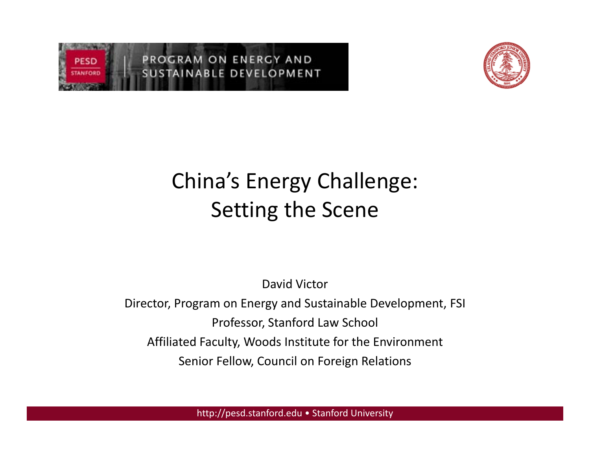



## China's Energy Challenge: Setting the Scene

David Victor

Director, Program on Energy and Sustainable Development, FSI Professor, Stanford Law School Affiliated Faculty, Woods Institute for the Environment Senior Fellow, Council on Foreign Relations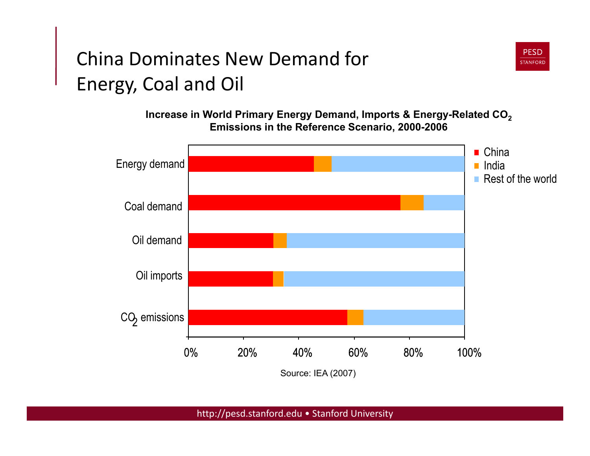#### China Dominates New Demand for Energy, Coal and Oil

**Increase in World Primary Energy Demand, Imports & Energy-Related CO<sub>2</sub> Emissions in the Reference Scenario, 2000-2006**

**PESD STANFORD** 

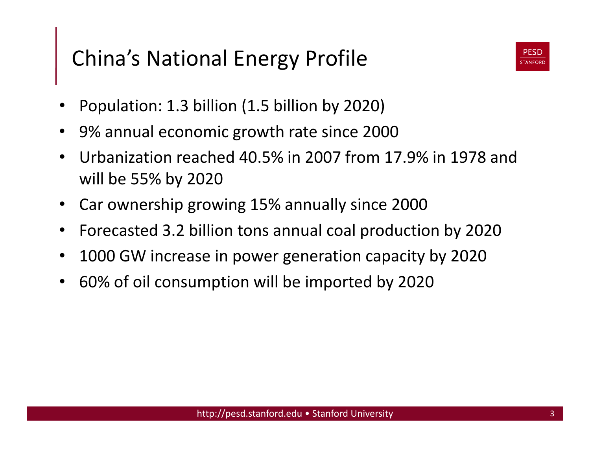## China's National Energy Profile



- Population: 1.3 billion (1.5 billion by 2020)
- 9% annual economic growth rate since 2000
- Urbanization reached 40.5% in 2007 from 17.9% in 1978 and will be 55% by 2020
- Car ownership growing 15% annually since 2000
- Forecasted 3.2 billion tons annual coal production by 2020
- 1000 GW increase in power generation capacity by 2020
- 60% of oil consumption will be imported by 2020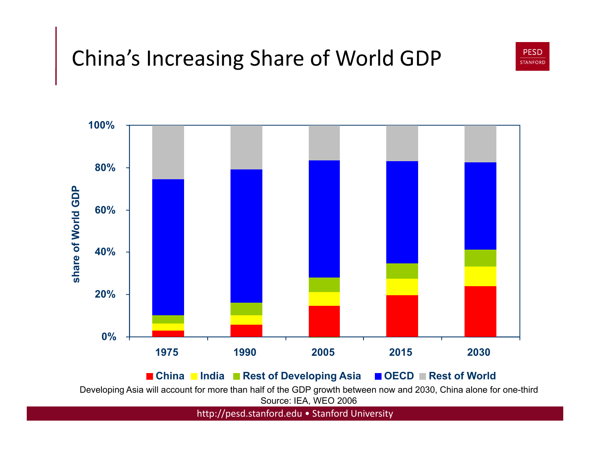## China's Increasing Share of World GDP





Developing Asia will account for more than half of the GDP growth between now and 2030, China alone for one-third Source: IEA, WEO 2006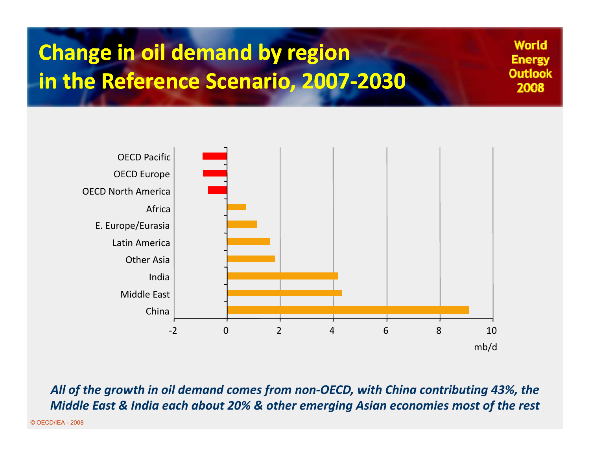## **Change in oil demand by region in the Reference Scenario, 2007-2030**

OECD North America OECD Europe OECD Pacific Other Asia Latin America E. Europe/Eurasia Africa China Middle East India "2 0 2 4 6 8 10 mb/d **World** 

**Energy Outlook** 2008

*All of the growth in oil demand comes from non"OECD, with China contributing 43%, the Middle East & India each about 20% & other emerging Asian economies most of the rest*

© OECD/IEA - 2008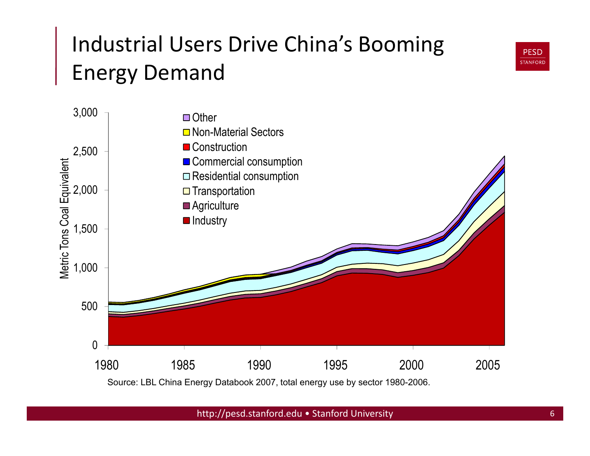## Industrial Users Drive China's Booming Energy Demand



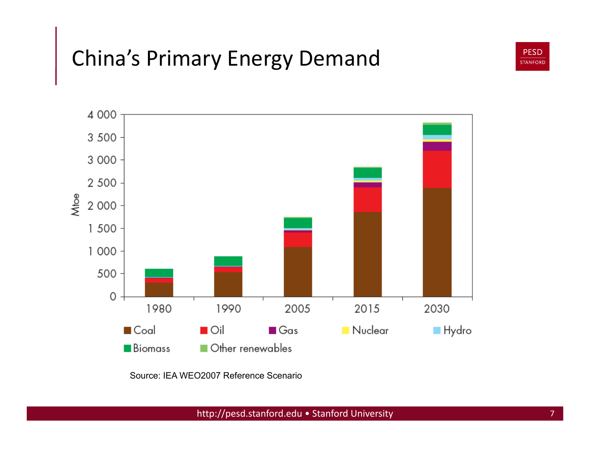## China's Primary Energy Demand





Source: IEA WEO2007 Reference Scenario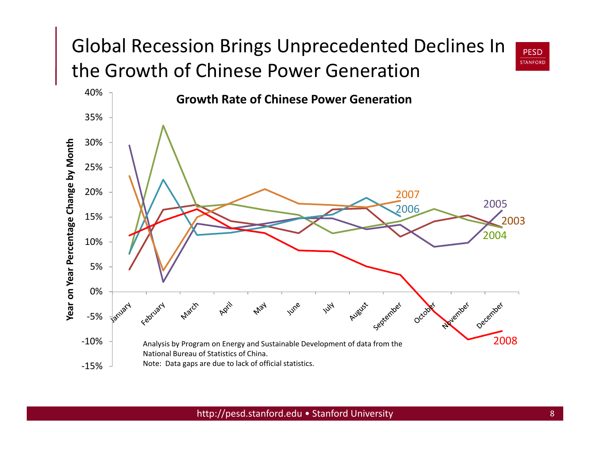#### Global Recession Brings Unprecedented Declines In the Growth of Chinese Power Generation



**PESD STANFORD**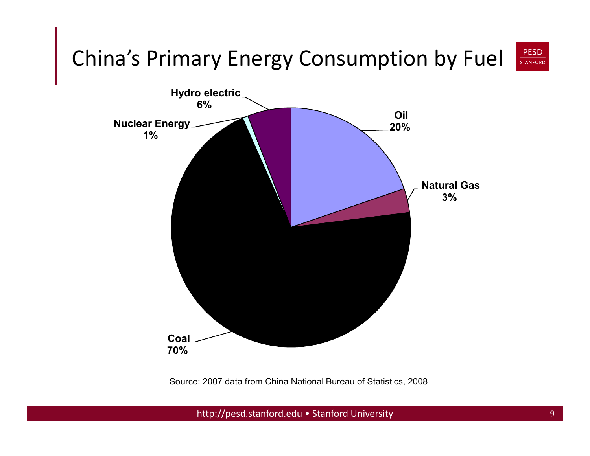

Source: 2007 data from China National Bureau of Statistics, 2008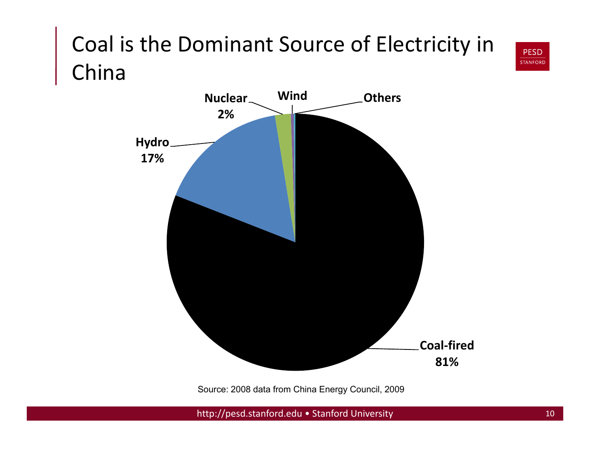## Coal is the Dominant Source of Electricity in China



Source: 2008 data from China Energy Council, 2009

http://pesd.stanford.edu • Stanford University 10

**PESD STANFORD**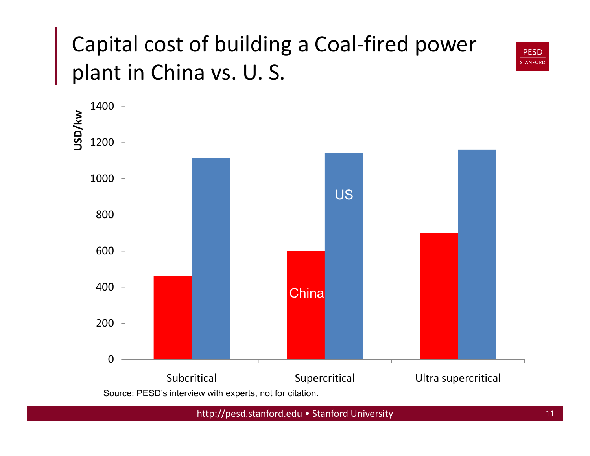## Capital cost of building a Coal-fired power plant in China vs. U. S.





Source: PESD's interview with experts, not for citation.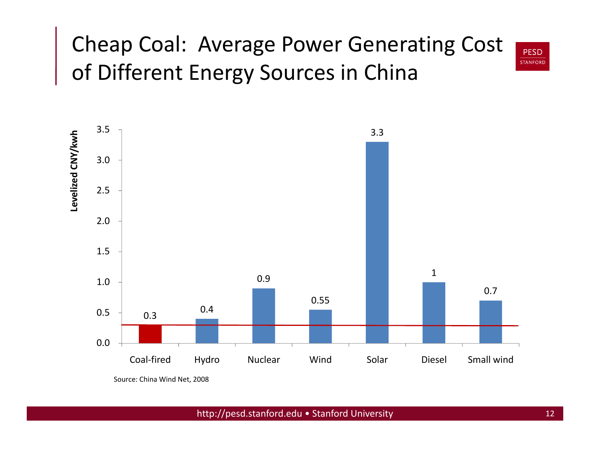## Cheap Coal: Average Power Generating Cost of Different Energy Sources in China





Source: China Wind Net, 2008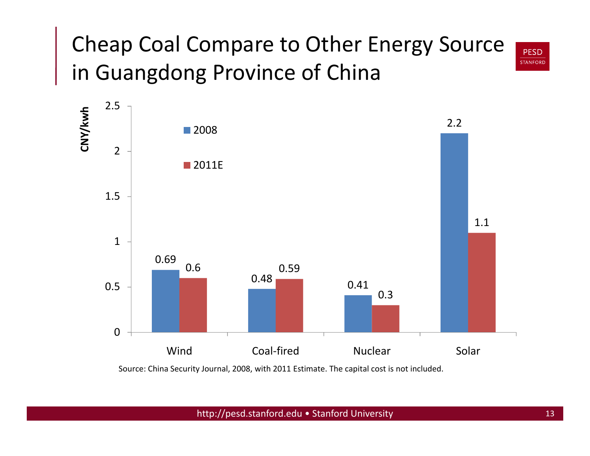#### Cheap Coal Compare to Other Energy Source **STANFORD** in Guangdong Province of China



Source: China Security Journal, 2008, with 2011 Estimate. The capital cost is not included.

http://pesd.stanford.edu • Stanford University 13

**PESD**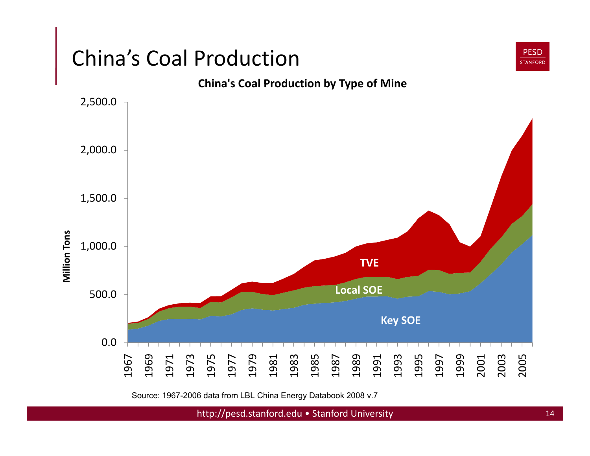

Source: 1967-2006 data from LBL China Energy Databook 2008 v.7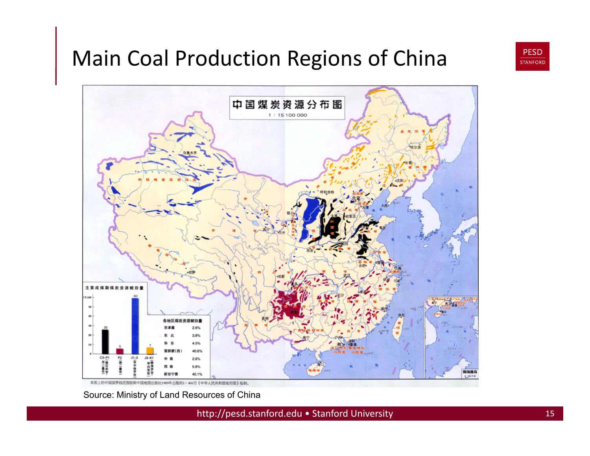## Main Coal Production Regions of China



本图上的中国国界线范围按照中国地图出版社1989年出版的1:400万《中华人民共和国地形图》绘制

Source: Ministry of Land Resources of China

http://pesd.stanford.edu • Stanford University 15

**PESD STANFORD**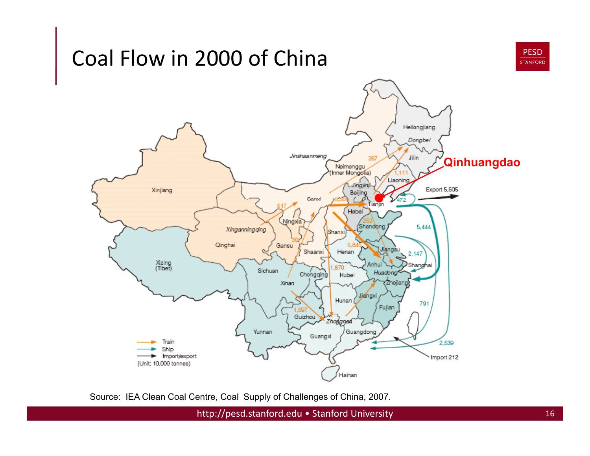### Coal Flow in 2000 of China





Source: IEA Clean Coal Centre, Coal Supply of Challenges of China, 2007.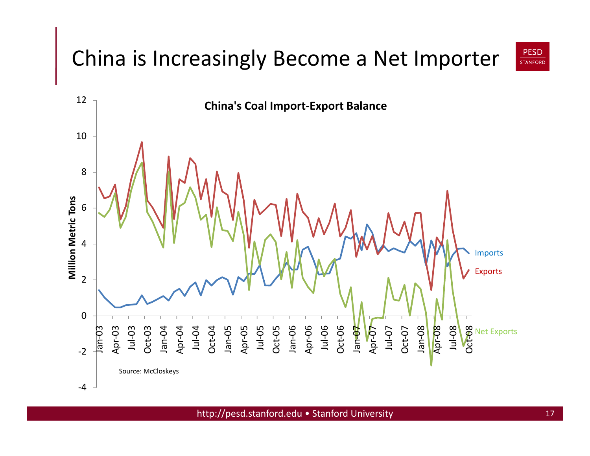## China is Increasingly Become a Net Importer



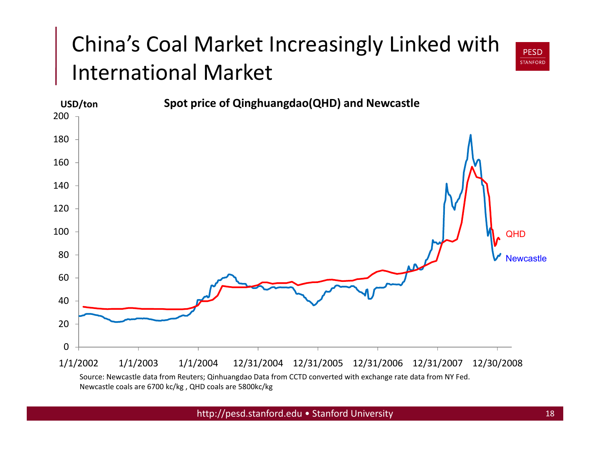# China's Coal Market Increasingly Linked with International Market



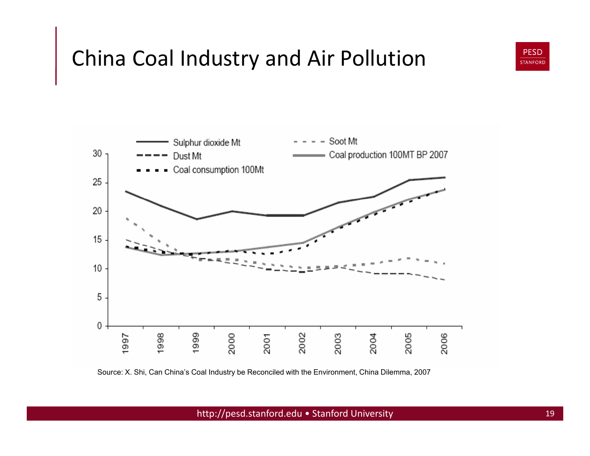

#### China Coal Industry and Air Pollution



Source: X. Shi, Can China's Coal Industry be Reconciled with the Environment, China Dilemma, 2007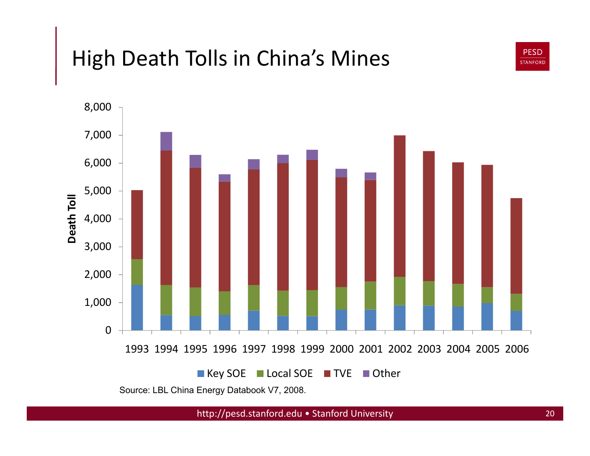## High Death Tolls in China's Mines



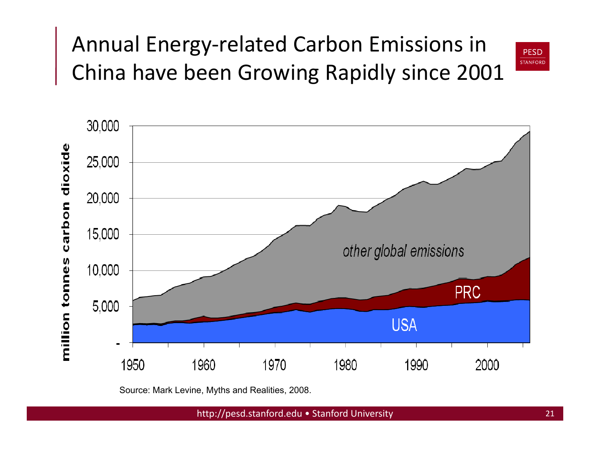## Annual Energy-related Carbon Emissions in China have been Growing Rapidly since 2001





Source: Mark Levine, Myths and Realities, 2008.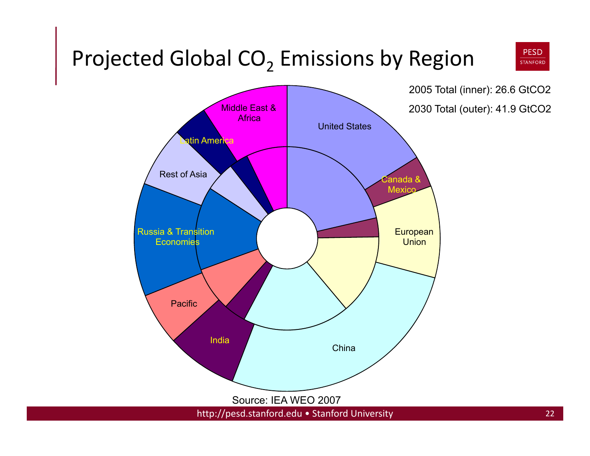#### **PESD** Projected Global  $CO<sub>2</sub>$  Emissions by Region **STANFORD**

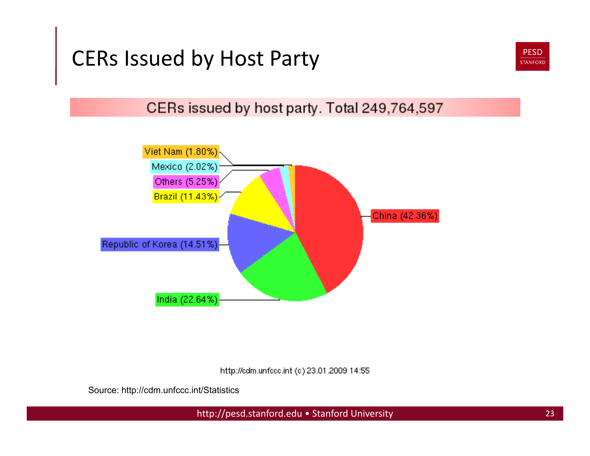## CERs Issued by Host Party



CERs issued by host party. Total 249,764,597



http://edm.unfecc.int (c) 23.01.2009 14:55

Source: http://cdm.unfccc.int/Statistics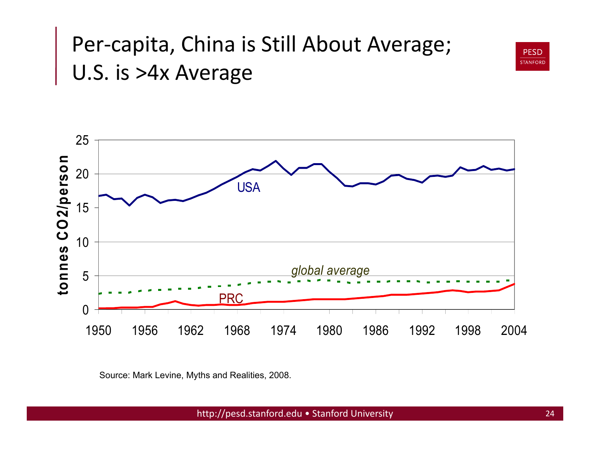## Per-capita, China is Still About Average; U.S. is >4x Average





Source: Mark Levine, Myths and Realities, 2008.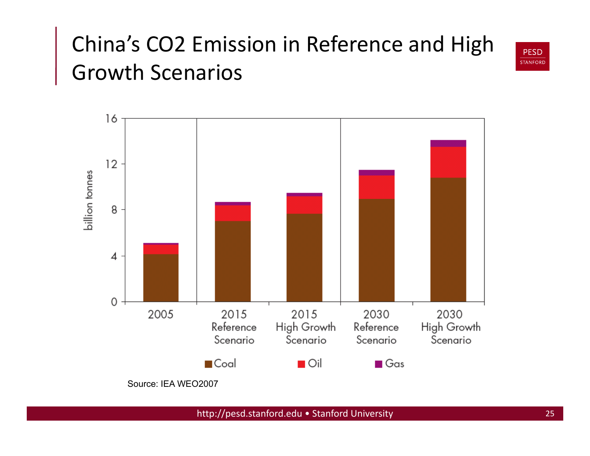## China's CO2 Emission in Reference and High Growth Scenarios